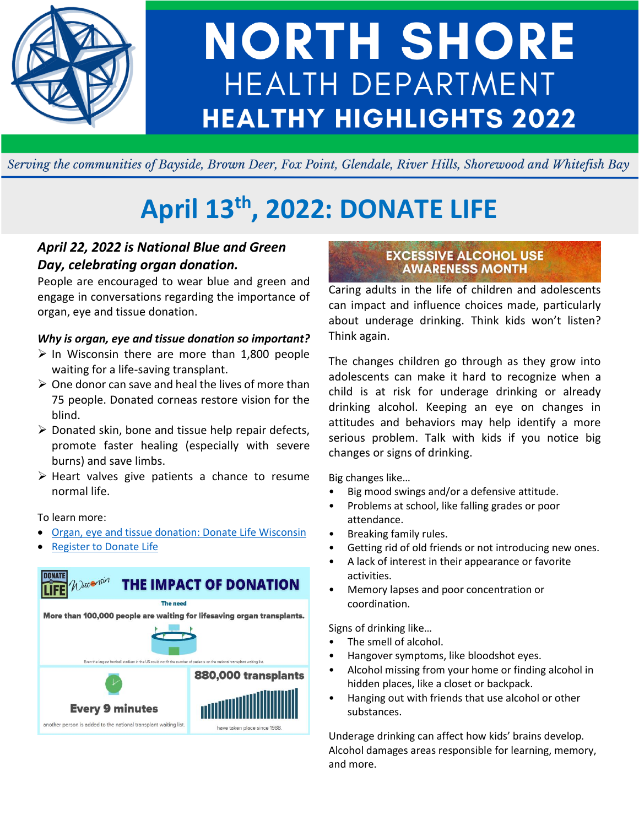

# **NORTH SHORE HEALTH DEPARTMENT HEALTHY HIGHLIGHTS 2022**

Serving the communities of Bayside, Brown Deer, Fox Point, Glendale, River Hills, Shorewood and Whitefish Bay

## **April 13th, 2022: DONATE LIFE**

#### *April 22, 2022 is National Blue and Green Day, celebrating organ donation.*

People are encouraged to wear blue and green and engage in conversations regarding the importance of organ, eye and tissue donation.

#### *Why is organ, eye and tissue donation so important?*

- $\triangleright$  In Wisconsin there are more than 1,800 people waiting for a life-saving transplant.
- $\triangleright$  One donor can save and heal the lives of more than 75 people. Donated corneas restore vision for the blind.
- ➢ Donated skin, bone and tissue help repair defects, promote faster healing (especially with severe burns) and save limbs.
- ➢ Heart valves give patients a chance to resume normal life.

#### To learn more:

- [Organ, eye and tissue donation: Donate Life Wisconsin](https://donatelifewisconsin.org/answers/)
- [Register to Donate Life](https://health.wisconsin.gov/donorRegistry/public/donate.html)



#### **EXCESSIVE ALCOHOL USE AWARENESS MONTH**

Caring adults in the life of children and adolescents can impact and influence choices made, particularly about underage drinking. Think kids won't listen? Think again.

The changes children go through as they grow into adolescents can make it hard to recognize when a child is at risk for underage drinking or already drinking alcohol. Keeping an eye on changes in attitudes and behaviors may help identify a more serious problem. Talk with kids if you notice big changes or signs of drinking.

Big changes like…

- Big mood swings and/or a defensive attitude.
- Problems at school, like falling grades or poor attendance.
- Breaking family rules.
- Getting rid of old friends or not introducing new ones.
- A lack of interest in their appearance or favorite activities.
- Memory lapses and poor concentration or coordination.

Signs of drinking like…

- The smell of alcohol.
- Hangover symptoms, like bloodshot eyes.
- Alcohol missing from your home or finding alcohol in hidden places, like a closet or backpack.
- Hanging out with friends that use alcohol or other substances.

Underage drinking can affect how kids' brains develop. Alcohol damages areas responsible for learning, memory, and more.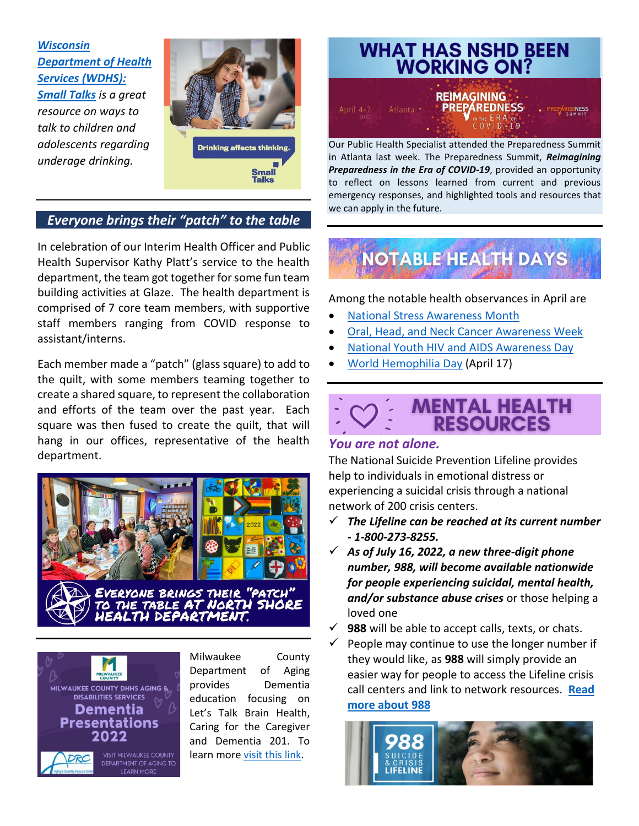*[Wisconsin](https://www.dhs.wisconsin.gov/small-talks/start-talking.htm)  [Department of Health](https://www.dhs.wisconsin.gov/small-talks/start-talking.htm)  [Services \(WDHS\):](https://www.dhs.wisconsin.gov/small-talks/start-talking.htm)  [Small Talks](https://www.dhs.wisconsin.gov/small-talks/start-talking.htm) is a great resource on ways to talk to children and adolescents regarding underage drinking.*



#### *Everyone brings their "patch" to the table*

In celebration of our Interim Health Officer and Public Health Supervisor Kathy Platt's service to the health department, the team got together for some fun team building activities at Glaze. The health department is comprised of 7 core team members, with supportive staff members ranging from COVID response to assistant/interns.

Each member made a "patch" (glass square) to add to the quilt, with some members teaming together to create a shared square, to represent the collaboration and efforts of the team over the past year. Each square was then fused to create the quilt, that will hang in our offices, representative of the health department.





Milwaukee County Department of Aging provides Dementia education focusing on Let's Talk Brain Health, Caring for the Caregiver and Dementia 201. To learn more visit [this link.](https://county.milwaukee.gov/files/county/department-on-aging/PDF/MilwaukeeRec2022DementiaPresentations.pdf)

#### **WHAT HAS NSHD BEEN WORKING ON? REIMAGINING PREPAREDNESS**  $COV1D-19$

Our Public Health Specialist attended the Preparedness Summit in Atlanta last week. The Preparedness Summit, *Reimagining Preparedness in the Era of COVID-19*, provided an opportunity to reflect on lessons learned from current and previous emergency responses, and highlighted tools and resources that we can apply in the future.

### **NOTABLE HEALTH DAYS**

Among the notable health observances in April are

- [National Stress Awareness Month](https://hr.nih.gov/working-nih/civil/national-stress-awareness-month)
- [Oral, Head, and Neck Cancer Awareness Week](https://www.cancer.gov/types/head-and-neck/head-neck-fact-sheet)
- [National Youth HIV and AIDS Awareness Day](https://www.cdc.gov/hiv/group/age/youth/index.html#:~:text=HIV%20and%20AIDS%20Diagnosese.%20In%202016%3A%208%2C451%20youth,youth%20with%20infections%20attributed%20to%20male-to-male%20sexual%20contact.)
- [World Hemophilia Day](https://wfh.org/world-hemophilia-day/) (April 17)

#### **MENTAL HEALTH RESOURCES**

#### *You are not alone.*

The National Suicide Prevention Lifeline provides help to individuals in emotional distress or experiencing a suicidal crisis through a national network of 200 crisis centers.

- ✓ *The Lifeline can be reached at its current number - 1-800-273-8255.*
- ✓ *As of July 16, 2022, a new three-digit phone number, 988, will become available nationwide for people experiencing suicidal, mental health, and/or substance abuse crises* or those helping a loved one
- $\checkmark$  **988** will be able to accept calls, texts, or chats.
- People may continue to use the longer number if they would like, as **988** will simply provide an easier way for people to access the Lifeline crisis call centers and link to network resources. **[Read](https://www.samhsa.gov/sites/default/files/988-factsheet.pdf)  [more about 988](https://www.samhsa.gov/sites/default/files/988-factsheet.pdf)**